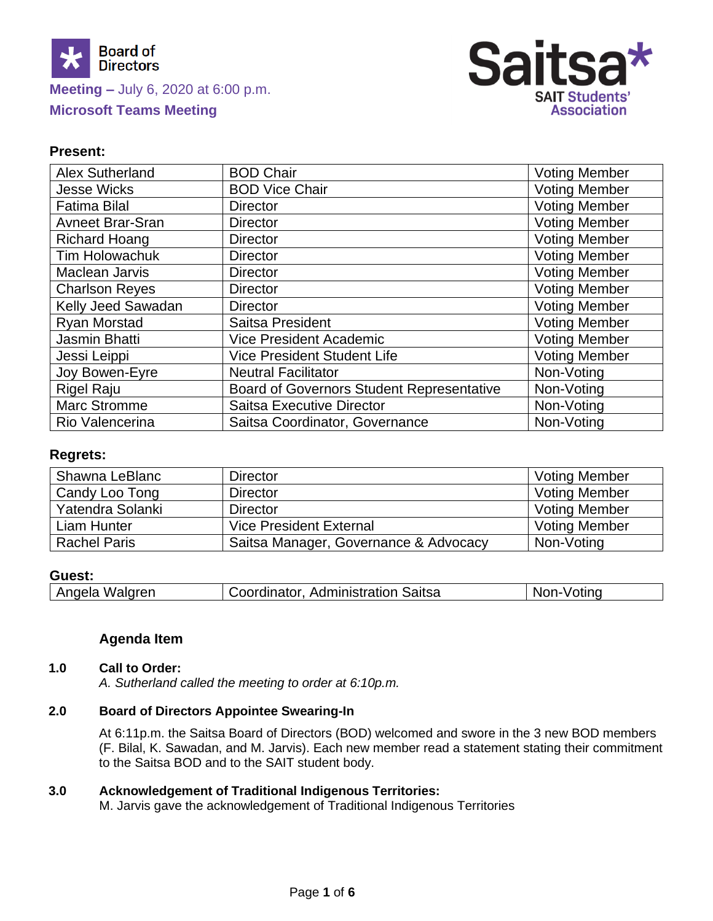

# **Meeting –** July 6, 2020 at 6:00 p.m. **Microsoft Teams Meeting**



# **Present:**

| <b>Alex Sutherland</b>  | <b>BOD Chair</b>                                 | <b>Voting Member</b> |
|-------------------------|--------------------------------------------------|----------------------|
| <b>Jesse Wicks</b>      | <b>BOD Vice Chair</b>                            | <b>Voting Member</b> |
| <b>Fatima Bilal</b>     | <b>Director</b>                                  | <b>Voting Member</b> |
| <b>Avneet Brar-Sran</b> | <b>Director</b>                                  | <b>Voting Member</b> |
| <b>Richard Hoang</b>    | <b>Director</b>                                  | <b>Voting Member</b> |
| <b>Tim Holowachuk</b>   | <b>Director</b>                                  | <b>Voting Member</b> |
| Maclean Jarvis          | <b>Director</b>                                  | <b>Voting Member</b> |
| <b>Charlson Reyes</b>   | <b>Director</b>                                  | <b>Voting Member</b> |
| Kelly Jeed Sawadan      | <b>Director</b>                                  | <b>Voting Member</b> |
| <b>Ryan Morstad</b>     | Saitsa President                                 | <b>Voting Member</b> |
| Jasmin Bhatti           | <b>Vice President Academic</b>                   | <b>Voting Member</b> |
| Jessi Leippi            | <b>Vice President Student Life</b>               | <b>Voting Member</b> |
| Joy Bowen-Eyre          | <b>Neutral Facilitator</b>                       | Non-Voting           |
| Rigel Raju              | <b>Board of Governors Student Representative</b> | Non-Voting           |
| <b>Marc Stromme</b>     | <b>Saitsa Executive Director</b>                 | Non-Voting           |
| Rio Valencerina         | Saitsa Coordinator, Governance                   | Non-Voting           |

### **Regrets:**

| Shawna LeBlanc      | <b>Director</b>                       | <b>Voting Member</b> |
|---------------------|---------------------------------------|----------------------|
| Candy Loo Tong      | <b>Director</b>                       | <b>Voting Member</b> |
| Yatendra Solanki    | <b>Director</b>                       | <b>Voting Member</b> |
| Liam Hunter         | <b>Vice President External</b>        | <b>Voting Member</b> |
| <b>Rachel Paris</b> | Saitsa Manager, Governance & Advocacy | Non-Voting           |

#### **Guest:**

#### **Agenda Item**

#### **1.0 Call to Order:**

*A. Sutherland called the meeting to order at 6:10p.m.*

### **2.0 Board of Directors Appointee Swearing-In**

At 6:11p.m. the Saitsa Board of Directors (BOD) welcomed and swore in the 3 new BOD members (F. Bilal, K. Sawadan, and M. Jarvis). Each new member read a statement stating their commitment to the Saitsa BOD and to the SAIT student body.

#### **3.0 Acknowledgement of Traditional Indigenous Territories:**

M. Jarvis gave the acknowledgement of Traditional Indigenous Territories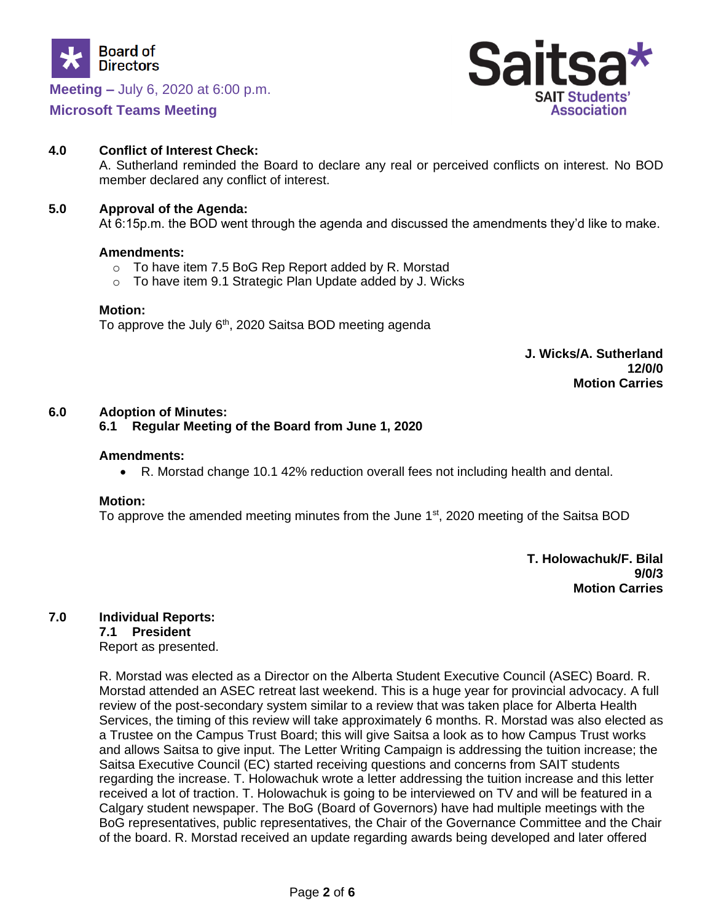

### **Meeting –** July 6, 2020 at 6:00 p.m.

## **Microsoft Teams Meeting**



### **4.0 Conflict of Interest Check:**

A. Sutherland reminded the Board to declare any real or perceived conflicts on interest. No BOD member declared any conflict of interest.

#### **5.0 Approval of the Agenda:**

At 6:15p.m. the BOD went through the agenda and discussed the amendments they'd like to make.

#### **Amendments:**

- o To have item 7.5 BoG Rep Report added by R. Morstad
- o To have item 9.1 Strategic Plan Update added by J. Wicks

#### **Motion:**

To approve the July  $6<sup>th</sup>$ , 2020 Saitsa BOD meeting agenda

**J. Wicks/A. Sutherland 12/0/0 Motion Carries**

### **6.0 Adoption of Minutes:**

### **6.1 Regular Meeting of the Board from June 1, 2020**

#### **Amendments:**

• R. Morstad change 10.1 42% reduction overall fees not including health and dental.

#### **Motion:**

To approve the amended meeting minutes from the June  $1<sup>st</sup>$ , 2020 meeting of the Saitsa BOD

**T. Holowachuk/F. Bilal 9/0/3 Motion Carries** 

# **7.0 Individual Reports:**

**7.1 President**

Report as presented.

R. Morstad was elected as a Director on the Alberta Student Executive Council (ASEC) Board. R. Morstad attended an ASEC retreat last weekend. This is a huge year for provincial advocacy. A full review of the post-secondary system similar to a review that was taken place for Alberta Health Services, the timing of this review will take approximately 6 months. R. Morstad was also elected as a Trustee on the Campus Trust Board; this will give Saitsa a look as to how Campus Trust works and allows Saitsa to give input. The Letter Writing Campaign is addressing the tuition increase; the Saitsa Executive Council (EC) started receiving questions and concerns from SAIT students regarding the increase. T. Holowachuk wrote a letter addressing the tuition increase and this letter received a lot of traction. T. Holowachuk is going to be interviewed on TV and will be featured in a Calgary student newspaper. The BoG (Board of Governors) have had multiple meetings with the BoG representatives, public representatives, the Chair of the Governance Committee and the Chair of the board. R. Morstad received an update regarding awards being developed and later offered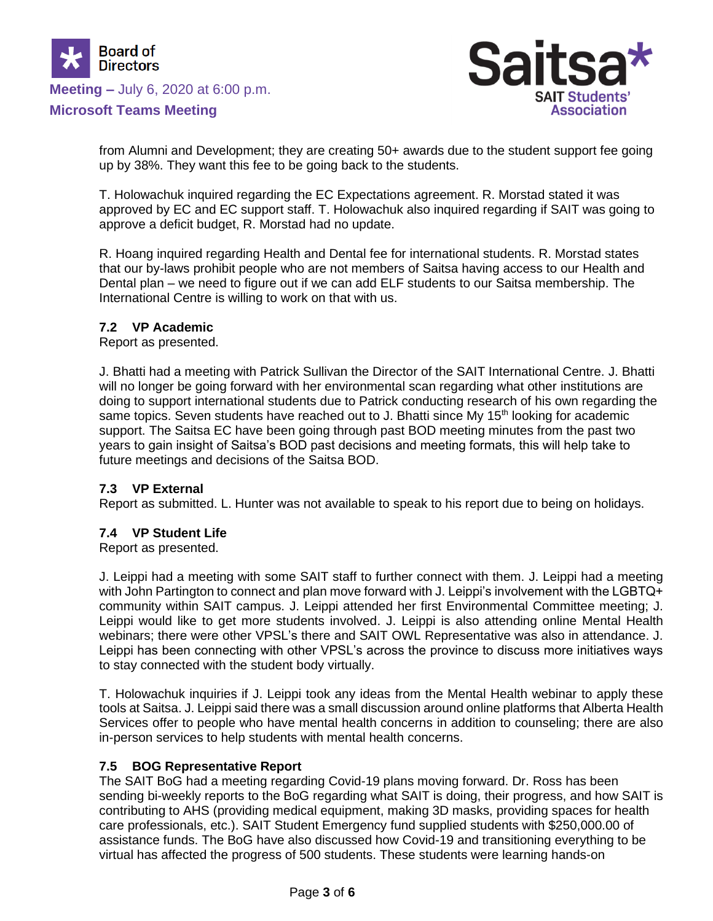

# **Meeting –** July 6, 2020 at 6:00 p.m.

### **Microsoft Teams Meeting**



from Alumni and Development; they are creating 50+ awards due to the student support fee going up by 38%. They want this fee to be going back to the students.

T. Holowachuk inquired regarding the EC Expectations agreement. R. Morstad stated it was approved by EC and EC support staff. T. Holowachuk also inquired regarding if SAIT was going to approve a deficit budget, R. Morstad had no update.

R. Hoang inquired regarding Health and Dental fee for international students. R. Morstad states that our by-laws prohibit people who are not members of Saitsa having access to our Health and Dental plan – we need to figure out if we can add ELF students to our Saitsa membership. The International Centre is willing to work on that with us.

### **7.2 VP Academic**

Report as presented.

J. Bhatti had a meeting with Patrick Sullivan the Director of the SAIT International Centre. J. Bhatti will no longer be going forward with her environmental scan regarding what other institutions are doing to support international students due to Patrick conducting research of his own regarding the same topics. Seven students have reached out to J. Bhatti since My 15<sup>th</sup> looking for academic support. The Saitsa EC have been going through past BOD meeting minutes from the past two years to gain insight of Saitsa's BOD past decisions and meeting formats, this will help take to future meetings and decisions of the Saitsa BOD.

#### **7.3 VP External**

Report as submitted. L. Hunter was not available to speak to his report due to being on holidays.

#### **7.4 VP Student Life**

Report as presented.

J. Leippi had a meeting with some SAIT staff to further connect with them. J. Leippi had a meeting with John Partington to connect and plan move forward with J. Leippi's involvement with the LGBTQ+ community within SAIT campus. J. Leippi attended her first Environmental Committee meeting; J. Leippi would like to get more students involved. J. Leippi is also attending online Mental Health webinars; there were other VPSL's there and SAIT OWL Representative was also in attendance. J. Leippi has been connecting with other VPSL's across the province to discuss more initiatives ways to stay connected with the student body virtually.

T. Holowachuk inquiries if J. Leippi took any ideas from the Mental Health webinar to apply these tools at Saitsa. J. Leippi said there was a small discussion around online platforms that Alberta Health Services offer to people who have mental health concerns in addition to counseling; there are also in-person services to help students with mental health concerns.

#### **7.5 BOG Representative Report**

The SAIT BoG had a meeting regarding Covid-19 plans moving forward. Dr. Ross has been sending bi-weekly reports to the BoG regarding what SAIT is doing, their progress, and how SAIT is contributing to AHS (providing medical equipment, making 3D masks, providing spaces for health care professionals, etc.). SAIT Student Emergency fund supplied students with \$250,000.00 of assistance funds. The BoG have also discussed how Covid-19 and transitioning everything to be virtual has affected the progress of 500 students. These students were learning hands-on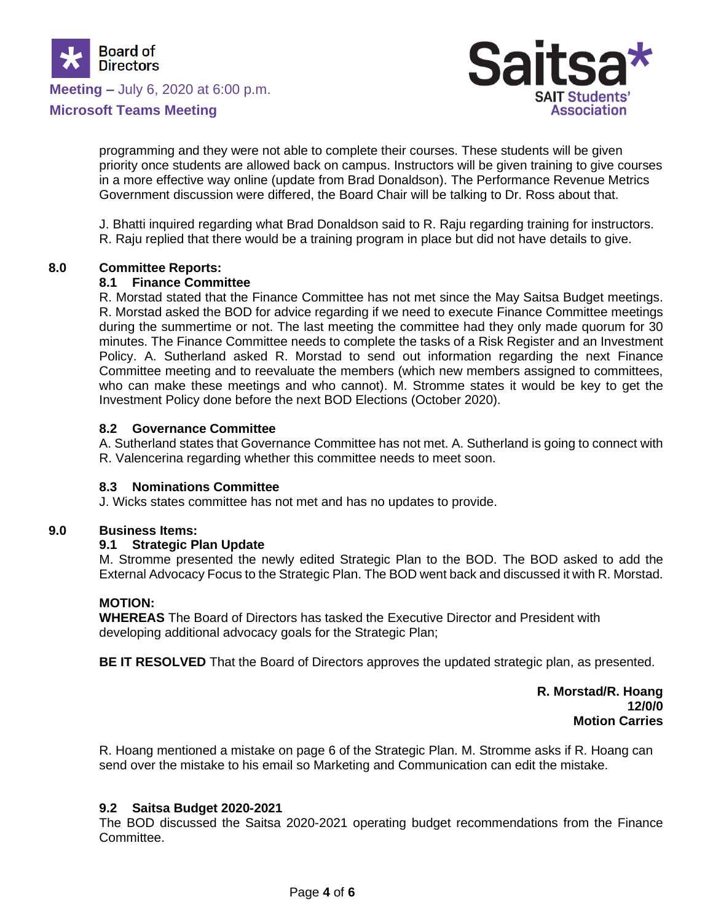

**Meeting –** July 6, 2020 at 6:00 p.m.





programming and they were not able to complete their courses. These students will be given priority once students are allowed back on campus. Instructors will be given training to give courses in a more effective way online (update from Brad Donaldson). The Performance Revenue Metrics Government discussion were differed, the Board Chair will be talking to Dr. Ross about that.

J. Bhatti inquired regarding what Brad Donaldson said to R. Raju regarding training for instructors. R. Raju replied that there would be a training program in place but did not have details to give.

### **8.0 Committee Reports:**

### **8.1 Finance Committee**

R. Morstad stated that the Finance Committee has not met since the May Saitsa Budget meetings. R. Morstad asked the BOD for advice regarding if we need to execute Finance Committee meetings during the summertime or not. The last meeting the committee had they only made quorum for 30 minutes. The Finance Committee needs to complete the tasks of a Risk Register and an Investment Policy. A. Sutherland asked R. Morstad to send out information regarding the next Finance Committee meeting and to reevaluate the members (which new members assigned to committees, who can make these meetings and who cannot). M. Stromme states it would be key to get the Investment Policy done before the next BOD Elections (October 2020).

### **8.2 Governance Committee**

A. Sutherland states that Governance Committee has not met. A. Sutherland is going to connect with R. Valencerina regarding whether this committee needs to meet soon.

#### **8.3 Nominations Committee**

J. Wicks states committee has not met and has no updates to provide.

#### **9.0 Business Items:**

#### **9.1 Strategic Plan Update**

M. Stromme presented the newly edited Strategic Plan to the BOD. The BOD asked to add the External Advocacy Focus to the Strategic Plan. The BOD went back and discussed it with R. Morstad.

#### **MOTION:**

**WHEREAS** The Board of Directors has tasked the Executive Director and President with developing additional advocacy goals for the Strategic Plan;

**BE IT RESOLVED** That the Board of Directors approves the updated strategic plan, as presented.

**R. Morstad/R. Hoang 12/0/0 Motion Carries**

R. Hoang mentioned a mistake on page 6 of the Strategic Plan. M. Stromme asks if R. Hoang can send over the mistake to his email so Marketing and Communication can edit the mistake.

### **9.2 Saitsa Budget 2020-2021**

The BOD discussed the Saitsa 2020-2021 operating budget recommendations from the Finance Committee.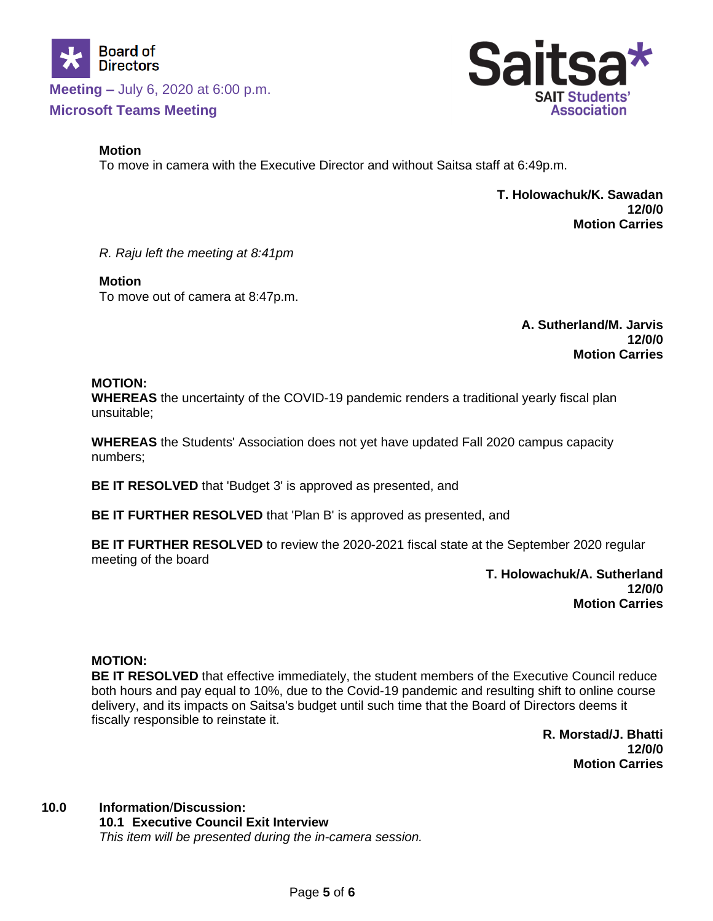

**Meeting –** July 6, 2020 at 6:00 p.m. **Microsoft Teams Meeting**

### **Motion**

To move in camera with the Executive Director and without Saitsa staff at 6:49p.m.

 **T. Holowachuk/K. Sawadan 12/0/0 Motion Carries**

*R. Raju left the meeting at 8:41pm*

### **Motion**

To move out of camera at 8:47p.m.

**A. Sutherland/M. Jarvis 12/0/0 Motion Carries**

## **MOTION:**

**WHEREAS** the uncertainty of the COVID-19 pandemic renders a traditional yearly fiscal plan unsuitable;

**WHEREAS** the Students' Association does not yet have updated Fall 2020 campus capacity numbers;

**BE IT RESOLVED** that 'Budget 3' is approved as presented, and

**BE IT FURTHER RESOLVED** that 'Plan B' is approved as presented, and

**BE IT FURTHER RESOLVED** to review the 2020-2021 fiscal state at the September 2020 regular meeting of the board

> **T. Holowachuk/A. Sutherland 12/0/0 Motion Carries**

### **MOTION:**

**BE IT RESOLVED** that effective immediately, the student members of the Executive Council reduce both hours and pay equal to 10%, due to the Covid-19 pandemic and resulting shift to online course delivery, and its impacts on Saitsa's budget until such time that the Board of Directors deems it fiscally responsible to reinstate it.

> **R. Morstad/J. Bhatti 12/0/0 Motion Carries**

# **10.0 Information**/**Discussion:**

**10.1 Executive Council Exit Interview** *This item will be presented during the in-camera session.*